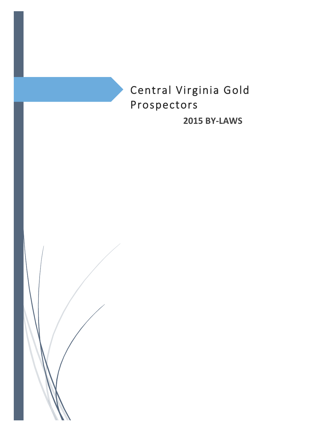

**2015 BY-LAWS**

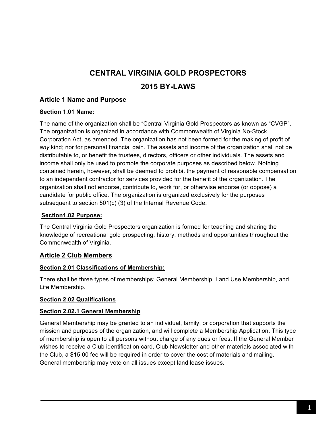# **CENTRAL VIRGINIA GOLD PROSPECTORS**

## **2015 BY-LAWS**

## **Article 1 Name and Purpose**

## **Section 1.01 Name:**

The name of the organization shall be "Central Virginia Gold Prospectors as known as "CVGP". The organization is organized in accordance with Commonwealth of Virginia No-Stock Corporation Act, as amended. The organization has not been formed for the making of profit of *any* kind; nor for personal financial gain. The assets and income of the organization shall not be distributable to, or benefit the trustees, directors, officers or other individuals. The assets and income shall only be used to promote the corporate purposes as described below. Nothing contained herein, however, shall be deemed to prohibit the payment of reasonable compensation to an independent contractor for services provided for the benefit of the organization. The organization shall not endorse, contribute to, work for, or otherwise endorse (or oppose) a candidate for public office. The organization is organized exclusively for the purposes subsequent to section 501(c) (3) of the Internal Revenue Code.

## **Section1.02 Purpose:**

The Central Virginia Gold Prospectors organization is formed for teaching and sharing the knowledge of recreational gold prospecting, history, methods and opportunities throughout the Commonwealth of Virginia.

## **Article 2 Club Members**

#### **Section 2.01 Classifications of Membership:**

There shall be three types of memberships: General Membership, Land Use Membership, and Life Membership.

## **Section 2.02 Qualifications**

#### **Section 2.02.1 General Membership**

General Membership may be granted to an individual, family, or corporation that supports the mission and purposes of the organization, and will complete a Membership Application. This type of membership is open to all persons without charge of any dues or fees. If the General Member wishes to receive a Club identification card, Club Newsletter and other materials associated with the Club, a \$15.00 fee will be required in order to cover the cost of materials and mailing. General membership may vote on all issues except land lease issues.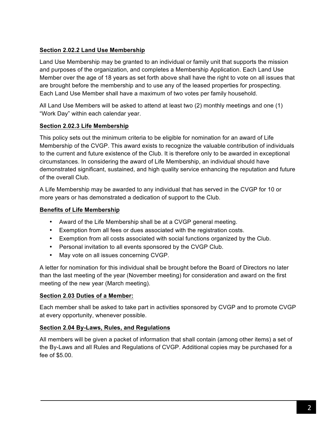## **Section 2.02.2 Land Use Membership**

Land Use Membership may be granted to an individual or family unit that supports the mission and purposes of the organization, and completes a Membership Application. Each Land Use Member over the age of 18 years as set forth above shall have the right to vote on all issues that are brought before the membership and to use any of the leased properties for prospecting. Each Land Use Member shall have a maximum of two votes per family household.

All Land Use Members will be asked to attend at least two (2) monthly meetings and one (1) "Work Day" within each calendar year.

#### **Section 2.02.3 Life Membership**

This policy sets out the minimum criteria to be eligible for nomination for an award of Life Membership of the CVGP. This award exists to recognize the valuable contribution of individuals to the current and future existence of the Club. It is therefore only to be awarded in exceptional circumstances. In considering the award of Life Membership, an individual should have demonstrated significant, sustained, and high quality service enhancing the reputation and future of the overall Club.

A Life Membership may be awarded to any individual that has served in the CVGP for 10 or more years or has demonstrated a dedication of support to the Club.

## **Benefits of Life Membership**

- Award of the Life Membership shall be at a CVGP general meeting.
- Exemption from all fees or dues associated with the registration costs.
- Exemption from all costs associated with social functions organized by the Club.
- Personal invitation to all events sponsored by the CVGP Club.
- May vote on all issues concerning CVGP.

A letter for nomination for this individual shall be brought before the Board of Directors no later than the last meeting of the year (November meeting) for consideration and award on the first meeting of the new year (March meeting).

#### **Section 2.03 Duties of a Member:**

Each member shall be asked to take part in activities sponsored by CVGP and to promote CVGP at every opportunity, whenever possible.

#### **Section 2.04 By-Laws, Rules, and Regulations**

All members will be given a packet of information that shall contain (among other items) a set of the By-Laws and all Rules and Regulations of CVGP. Additional copies may be purchased for a fee of \$5.00.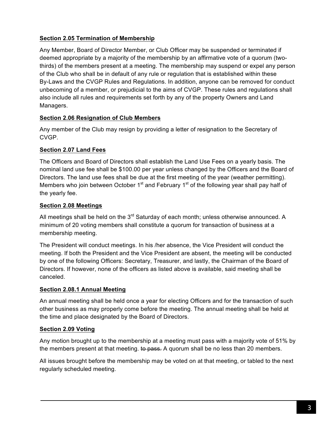## **Section 2.05 Termination of Membership**

Any Member, Board of Director Member, or Club Officer may be suspended or terminated if deemed appropriate by a majority of the membership by an affirmative vote of a quorum (twothirds) of the members present at a meeting. The membership may suspend or expel any person of the Club who shall be in default of any rule or regulation that is established within these By-Laws and the CVGP Rules and Regulations. In addition, anyone can be removed for conduct unbecoming of a member, or prejudicial to the aims of CVGP. These rules and regulations shall also include all rules and requirements set forth by any of the property Owners and Land Managers.

## **Section 2.06 Resignation of Club Members**

Any member of the Club may resign by providing a letter of resignation to the Secretary of CVGP.

## **Section 2.07 Land Fees**

The Officers and Board of Directors shall establish the Land Use Fees on a yearly basis. The nominal land use fee shall be \$100.00 per year unless changed by the Officers and the Board of Directors. The land use fees shall be due at the first meeting of the year (weather permitting). Members who join between October  $1<sup>st</sup>$  and February  $1<sup>st</sup>$  of the following year shall pay half of the yearly fee.

## **Section 2.08 Meetings**

All meetings shall be held on the  $3<sup>rd</sup>$  Saturday of each month; unless otherwise announced. A minimum of 20 voting members shall constitute a quorum for transaction of business at a membership meeting.

The President will conduct meetings. In his /her absence, the Vice President will conduct the meeting. If both the President and the Vice President are absent, the meeting will be conducted by one of the following Officers: Secretary, Treasurer, and lastly, the Chairman of the Board of Directors. If however, none of the officers as listed above is available, said meeting shall be canceled.

#### **Section 2.08.1 Annual Meeting**

An annual meeting shall be held once a year for electing Officers and for the transaction of such other business as may properly come before the meeting. The annual meeting shall be held at the time and place designated by the Board of Directors.

## **Section 2.09 Voting**

Any motion brought up to the membership at a meeting must pass with a majority vote of 51% by the members present at that meeting. to pass. A quorum shall be no less than 20 members.

All issues brought before the membership may be voted on at that meeting, or tabled to the next regularly scheduled meeting.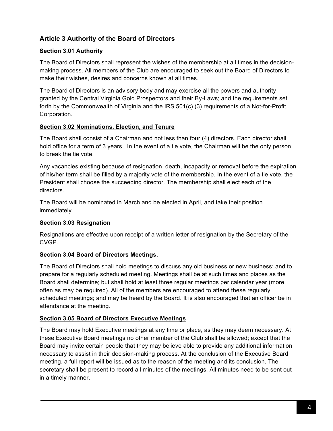## **Article 3 Authority of the Board of Directors**

#### **Section 3.01 Authority**

The Board of Directors shall represent the wishes of the membership at all times in the decisionmaking process. All members of the Club are encouraged to seek out the Board of Directors to make their wishes, desires and concerns known at all times.

The Board of Directors is an advisory body and may exercise all the powers and authority granted by the Central Virginia Gold Prospectors and their By-Laws; and the requirements set forth by the Commonwealth of Virginia and the IRS 501(c) (3) requirements of a Not-for-Profit Corporation.

#### **Section 3.02 Nominations, Election, and Tenure**

The Board shall consist of a Chairman and not less than four (4) directors. Each director shall hold office for a term of 3 years. In the event of a tie vote, the Chairman will be the only person to break the tie vote.

Any vacancies existing because of resignation, death, incapacity or removal before the expiration of his/her term shall be filled by a majority vote of the membership. In the event of a tie vote, the President shall choose the succeeding director. The membership shall elect each of the directors.

The Board will be nominated in March and be elected in April, and take their position immediately.

## **Section 3.03 Resignation**

Resignations are effective upon receipt of a written letter of resignation by the Secretary of the CVGP.

## **Section 3.04 Board of Directors Meetings.**

The Board of Directors shall hold meetings to discuss any old business or new business; and to prepare for a regularly scheduled meeting. Meetings shall be at such times and places as the Board shall determine; but shall hold at least three regular meetings per calendar year (more often as may be required). All of the members are encouraged to attend these regularly scheduled meetings; and may be heard by the Board. It is also encouraged that an officer be in attendance at the meeting.

#### **Section 3.05 Board of Directors Executive Meetings**

The Board may hold Executive meetings at any time or place, as they may deem necessary. At these Executive Board meetings no other member of the Club shall be allowed; except that the Board may invite certain people that they may believe able to provide any additional information necessary to assist in their decision-making process. At the conclusion of the Executive Board meeting, a full report will be issued as to the reason of the meeting and its conclusion. The secretary shall be present to record all minutes of the meetings. All minutes need to be sent out in a timely manner.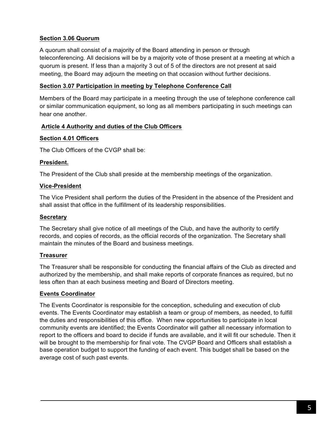#### **Section 3.06 Quorum**

A quorum shall consist of a majority of the Board attending in person or through teleconferencing. All decisions will be by a majority vote of those present at a meeting at which a quorum is present. If less than a majority 3 out of 5 of the directors are not present at said meeting, the Board may adjourn the meeting on that occasion without further decisions.

#### **Section 3.07 Participation in meeting by Telephone Conference Call**

Members of the Board may participate in a meeting through the use of telephone conference call or similar communication equipment, so long as all members participating in such meetings can hear one another.

#### **Article 4 Authority and duties of the Club Officers**

#### **Section 4.01 Officers**

The Club Officers of the CVGP shall be:

#### **President.**

The President of the Club shall preside at the membership meetings of the organization.

#### **Vice-President**

The Vice President shall perform the duties of the President in the absence of the President and shall assist that office in the fulfillment of its leadership responsibilities.

#### **Secretary**

The Secretary shall give notice of all meetings of the Club, and have the authority to certify records, and copies of records, as the official records of the organization. The Secretary shall maintain the minutes of the Board and business meetings.

#### **Treasurer**

The Treasurer shall be responsible for conducting the financial affairs of the Club as directed and authorized by the membership, and shall make reports of corporate finances as required, but no less often than at each business meeting and Board of Directors meeting.

#### **Events Coordinator**

The Events Coordinator is responsible for the conception, scheduling and execution of club events. The Events Coordinator may establish a team or group of members, as needed, to fulfill the duties and responsibilities of this office. When new opportunities to participate in local community events are identified; the Events Coordinator will gather all necessary information to report to the officers and board to decide if funds are available, and it will fit our schedule. Then it will be brought to the membership for final vote. The CVGP Board and Officers shall establish a base operation budget to support the funding of each event. This budget shall be based on the average cost of such past events.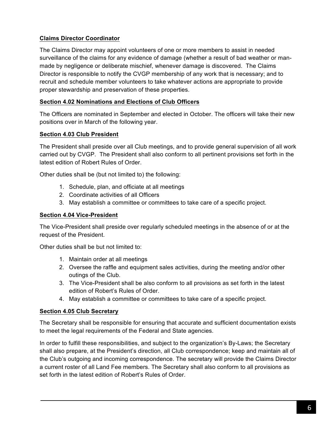## **Claims Director Coordinator**

The Claims Director may appoint volunteers of one or more members to assist in needed surveillance of the claims for any evidence of damage (whether a result of bad weather or manmade by negligence or deliberate mischief, whenever damage is discovered. The Claims Director is responsible to notify the CVGP membership of any work that is necessary; and to recruit and schedule member volunteers to take whatever actions are appropriate to provide proper stewardship and preservation of these properties.

## **Section 4.02 Nominations and Elections of Club Officers**

The Officers are nominated in September and elected in October. The officers will take their new positions over in March of the following year.

## **Section 4.03 Club President**

The President shall preside over all Club meetings, and to provide general supervision of all work carried out by CVGP. The President shall also conform to all pertinent provisions set forth in the latest edition of Robert Rules of Order.

Other duties shall be (but not limited to) the following:

- 1. Schedule, plan, and officiate at all meetings
- 2. Coordinate activities of all Officers
- 3. May establish a committee or committees to take care of a specific project.

#### **Section 4.04 Vice-President**

The Vice-President shall preside over regularly scheduled meetings in the absence of or at the request of the President.

Other duties shall be but not limited to:

- 1. Maintain order at all meetings
- 2. Oversee the raffle and equipment sales activities, during the meeting and/or other outings of the Club.
- 3. The Vice-President shall be also conform to all provisions as set forth in the latest edition of Robert's Rules of Order.
- 4. May establish a committee or committees to take care of a specific project.

#### **Section 4.05 Club Secretary**

The Secretary shall be responsible for ensuring that accurate and sufficient documentation exists to meet the legal requirements of the Federal and State agencies.

In order to fulfill these responsibilities, and subject to the organization's By-Laws; the Secretary shall also prepare, at the President's direction, all Club correspondence; keep and maintain all of the Club's outgoing and incoming correspondence. The secretary will provide the Claims Director a current roster of all Land Fee members. The Secretary shall also conform to all provisions as set forth in the latest edition of Robert's Rules of Order.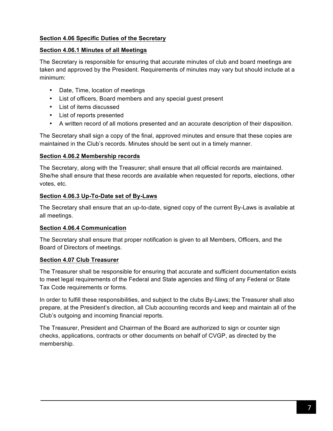## **Section 4.06 Specific Duties of the Secretary**

#### **Section 4.06.1 Minutes of all Meetings**

The Secretary is responsible for ensuring that accurate minutes of club and board meetings are taken and approved by the President. Requirements of minutes may vary but should include at a minimum:

- Date, Time, location of meetings
- List of officers, Board members and any special guest present
- List of items discussed
- List of reports presented
- A written record of all motions presented and an accurate description of their disposition.

The Secretary shall sign a copy of the final, approved minutes and ensure that these copies are maintained in the Club's records. Minutes should be sent out in a timely manner.

#### **Section 4.06.2 Membership records**

The Secretary, along with the Treasurer; shall ensure that all official records are maintained. She/he shall ensure that these records are available when requested for reports, elections, other votes, etc.

#### **Section 4.06.3 Up-To-Date set of By-Laws**

The Secretary shall ensure that an up-to-date, signed copy of the current By-Laws is available at all meetings.

#### **Section 4.06.4 Communication**

The Secretary shall ensure that proper notification is given to all Members, Officers, and the Board of Directors of meetings.

#### **Section 4.07 Club Treasurer**

The Treasurer shall be responsible for ensuring that accurate and sufficient documentation exists to meet legal requirements of the Federal and State agencies and filing of any Federal or State Tax Code requirements or forms.

In order to fulfill these responsibilities, and subject to the clubs By-Laws; the Treasurer shall also prepare, at the President's direction, all Club accounting records and keep and maintain all of the Club's outgoing and incoming financial reports.

The Treasurer, President and Chairman of the Board are authorized to sign or counter sign checks, applications, contracts or other documents on behalf of CVGP, as directed by the membership.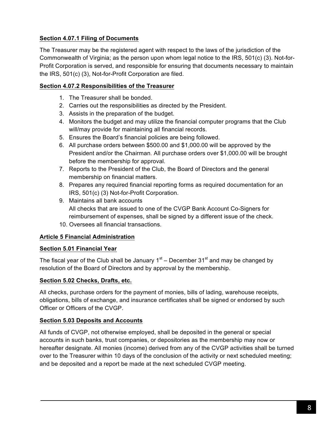## **Section 4.07.1 Filing of Documents**

The Treasurer may be the registered agent with respect to the laws of the jurisdiction of the Commonwealth of Virginia; as the person upon whom legal notice to the IRS, 501(c) (3). Not-for-Profit Corporation is served, and responsible for ensuring that documents necessary to maintain the IRS, 501(c) (3), Not-for-Profit Corporation are filed.

#### **Section 4.07.2 Responsibilities of the Treasurer**

- 1. The Treasurer shall be bonded.
- 2. Carries out the responsibilities as directed by the President.
- 3. Assists in the preparation of the budget.
- 4. Monitors the budget and may utilize the financial computer programs that the Club will/may provide for maintaining all financial records.
- 5. Ensures the Board's financial policies are being followed.
- 6. All purchase orders between \$500.00 and \$1,000.00 will be approved by the President and/or the Chairman. All purchase orders over \$1,000.00 will be brought before the membership for approval.
- 7. Reports to the President of the Club, the Board of Directors and the general membership on financial matters.
- 8. Prepares any required financial reporting forms as required documentation for an IRS, 501(c) (3) Not-for-Profit Corporation.
- 9. Maintains all bank accounts All checks that are issued to one of the CVGP Bank Account Co-Signers for reimbursement of expenses, shall be signed by a different issue of the check.
- 10. Oversees all financial transactions.

## **Article 5 Financial Administration**

#### **Section 5.01 Financial Year**

The fiscal year of the Club shall be January  $1<sup>st</sup>$  – December  $31<sup>st</sup>$  and may be changed by resolution of the Board of Directors and by approval by the membership.

#### **Section 5.02 Checks, Drafts, etc.**

All checks, purchase orders for the payment of monies, bills of lading, warehouse receipts, obligations, bills of exchange, and insurance certificates shall be signed or endorsed by such Officer or Officers of the CVGP.

## **Section 5.03 Deposits and Accounts**

All funds of CVGP, not otherwise employed, shall be deposited in the general or special accounts in such banks, trust companies, or depositories as the membership may now or hereafter designate. All monies (income) derived from any of the CVGP activities shall be turned over to the Treasurer within 10 days of the conclusion of the activity or next scheduled meeting; and be deposited and a report be made at the next scheduled CVGP meeting.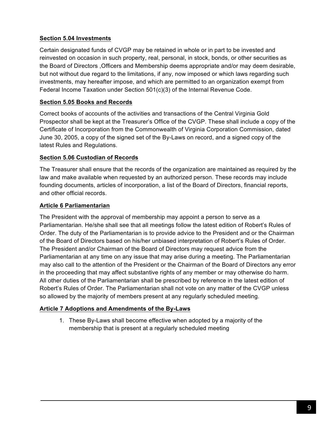#### **Section 5.04 Investments**

Certain designated funds of CVGP may be retained in whole or in part to be invested and reinvested on occasion in such property, real, personal, in stock, bonds, or other securities as the Board of Directors ,Officers and Membership deems appropriate and/or may deem desirable, but not without due regard to the limitations, if any, now imposed or which laws regarding such investments, may hereafter impose, and which are permitted to an organization exempt from Federal Income Taxation under Section 501(c)(3) of the Internal Revenue Code.

## **Section 5.05 Books and Records**

Correct books of accounts of the activities and transactions of the Central Virginia Gold Prospector shall be kept at the Treasurer's Office of the CVGP. These shall include a copy of the Certificate of Incorporation from the Commonwealth of Virginia Corporation Commission, dated June 30, 2005, a copy of the signed set of the By-Laws on record, and a signed copy of the latest Rules and Regulations.

## **Section 5.06 Custodian of Records**

The Treasurer shall ensure that the records of the organization are maintained as required by the law and make available when requested by an authorized person. These records may include founding documents, articles of incorporation, a list of the Board of Directors, financial reports, and other official records.

## **Article 6 Parliamentarian**

The President with the approval of membership may appoint a person to serve as a Parliamentarian. He/she shall see that all meetings follow the latest edition of Robert's Rules of Order. The duty of the Parliamentarian is to provide advice to the President and or the Chairman of the Board of Directors based on his/her unbiased interpretation of Robert's Rules of Order. The President and/or Chairman of the Board of Directors may request advice from the Parliamentarian at any time on any issue that may arise during a meeting. The Parliamentarian may also call to the attention of the President or the Chairman of the Board of Directors any error in the proceeding that may affect substantive rights of any member or may otherwise do harm. All other duties of the Parliamentarian shall be prescribed by reference in the latest edition of Robert's Rules of Order. The Parliamentarian shall not vote on any matter of the CVGP unless so allowed by the majority of members present at any regularly scheduled meeting.

## **Article 7 Adoptions and Amendments of the By-Laws**

1. These By-Laws shall become effective when adopted by a majority of the membership that is present at a regularly scheduled meeting